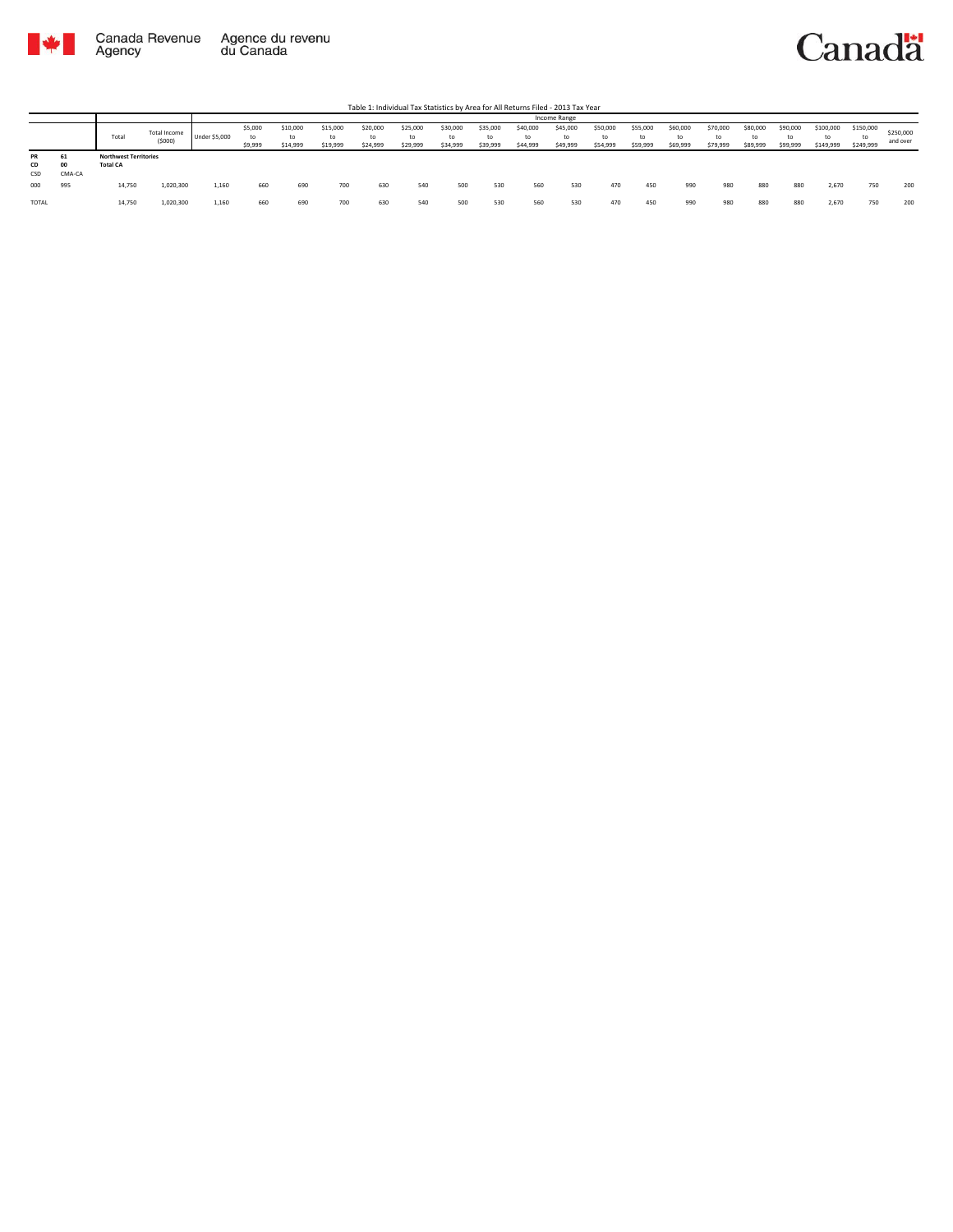

|                 |                    |                                                 |                        |               | Income Range             |                      |                            |                            |                            |                            |                            |                            |                      |                            |                            |                            |                            |                      |                            |                              |                              |                       |
|-----------------|--------------------|-------------------------------------------------|------------------------|---------------|--------------------------|----------------------|----------------------------|----------------------------|----------------------------|----------------------------|----------------------------|----------------------------|----------------------|----------------------------|----------------------------|----------------------------|----------------------------|----------------------|----------------------------|------------------------------|------------------------------|-----------------------|
|                 |                    | Total                                           | Total Income<br>(5000) | Under \$5,000 | \$5,000<br>to<br>\$9,999 | \$10,000<br>\$14,999 | \$15,000<br>to<br>\$19,999 | \$20,000<br>to<br>\$24,999 | \$25,000<br>to<br>\$29,999 | \$30,000<br>to<br>\$34,999 | \$35,000<br>tc<br>\$39,999 | \$40,000<br>to<br>\$44,999 | \$45,000<br>\$49,999 | \$50,000<br>to<br>\$54,999 | \$55,000<br>to<br>\$59,999 | \$60,000<br>to<br>\$69,999 | \$70,000<br>to<br>\$79,999 | \$80,000<br>\$89,999 | \$90,000<br>to<br>\$99,999 | \$100,000<br>to<br>\$149,999 | \$150,000<br>to<br>\$249,999 | \$250,000<br>and over |
| PR<br>CD<br>CSD | 61<br>00<br>CMA-CA | <b>Northwest Territories</b><br><b>Total CA</b> |                        |               |                          |                      |                            |                            |                            |                            |                            |                            |                      |                            |                            |                            |                            |                      |                            |                              |                              |                       |
| 000             | 995                | 14,750                                          | 1,020,300              | 1,160         | 660                      | 690                  | 700                        | 630                        | 540                        | 500                        | 530                        | 560                        | 530                  | 470                        | 450                        | 990                        | 980                        | 880                  | 880                        | 2,670                        | 750                          | 200                   |
| <b>TOTAL</b>    |                    | 14,750                                          | 1,020,300              | 1,160         | 660                      | 690                  | 700                        | 630                        | 540                        | 500                        | 530                        | 560                        | 530                  | 470                        | 450                        | 990                        | 980                        | 880                  | 880                        | 2,670                        | 750                          | 200                   |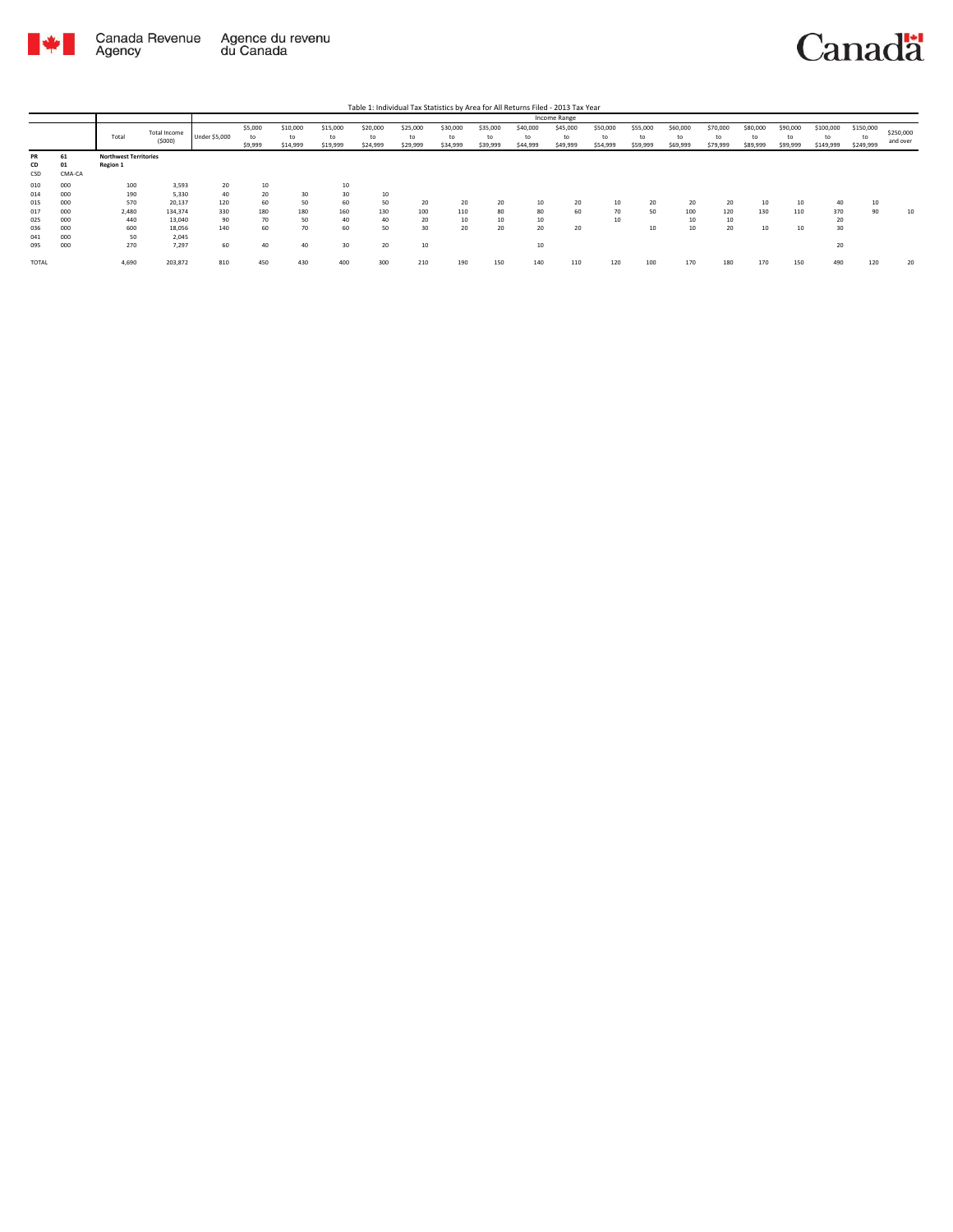

|              |        |                              |              |               |         |          |          |          |          |          |          |          | Income Range |          |          |          |          |          |          |           |           |           |
|--------------|--------|------------------------------|--------------|---------------|---------|----------|----------|----------|----------|----------|----------|----------|--------------|----------|----------|----------|----------|----------|----------|-----------|-----------|-----------|
|              |        |                              | Total Income |               | \$5,000 | \$10,000 | \$15,000 | \$20,000 | \$25,000 | \$30,000 | \$35,000 | \$40,000 | \$45,000     | \$50,000 | \$55,000 | \$60,000 | \$70,000 | \$80,000 | \$90,000 | \$100,000 | \$150,000 | \$250,000 |
|              |        | Total                        | (5000)       | Under \$5,000 | to      | to       | to       | to       | to       | to       | to       | to       | to           | to       | to       | to       | to       | to       | to       | to        |           | and over  |
|              |        |                              |              |               | \$9,999 | \$14,999 | \$19,999 | \$24,999 | \$29,999 | \$34,999 | \$39,999 | \$44,999 | \$49,999     | \$54,999 | \$59,999 | \$69,999 | \$79,999 | \$89,999 | \$99,999 | \$149,999 | \$249,999 |           |
| PR           | 61     | <b>Northwest Territories</b> |              |               |         |          |          |          |          |          |          |          |              |          |          |          |          |          |          |           |           |           |
| CD           | 01     | <b>Region 1</b>              |              |               |         |          |          |          |          |          |          |          |              |          |          |          |          |          |          |           |           |           |
| CSD          | CMA-CA |                              |              |               |         |          |          |          |          |          |          |          |              |          |          |          |          |          |          |           |           |           |
| 010          | 000    | 100                          | 3,593        | 20            | 10      |          | 10       |          |          |          |          |          |              |          |          |          |          |          |          |           |           |           |
| 014          | 000    | 190                          | 5,330        | 40            | 20      | 30       | 30       | 10       |          |          |          |          |              |          |          |          |          |          |          |           |           |           |
| 015          | 000    | 570                          | 20,137       | 120           | 60      | 50       | 60       | 50       | 20       | 20       | 20       | 10       | 20           | 10       | 20       | 20       | 20       | 10       | 10       | 40        | 10        |           |
| 017          | 000    | 2,480                        | 134,374      | 330           | 180     | 180      | 160      | 130      | 100      | 110      | 80       | 80       | 60           | 70       | 50       | 100      | 120      | 130      | 110      | 370       | 90        | 10        |
| 025          | 000    | 440                          | 13,040       | 90            | 70      | 50       | 40       | 40       | 20       | 10       | 10       | 10       |              | 10       |          | 10       | 10       |          |          | 20        |           |           |
| 036          | 000    | 600                          | 18,056       | 140           | 60      | 70       | 60       | 50       | 30       | 20       | 20       | 20       | 20           |          | 10       | 10       | 20       | 10       | 10       | 30        |           |           |
| 041          | 000    | 50                           | 2,045        |               |         |          |          |          |          |          |          |          |              |          |          |          |          |          |          |           |           |           |
| 095          | 000    | 270                          | 7,297        | 60            | 40      | 40       | 30       | 20       | 10       |          |          | 10       |              |          |          |          |          |          |          | 20        |           |           |
| <b>TOTAL</b> |        | 4,690                        | 203,872      | 810           | 450     | 430      | 400      | 300      | 210      | 190      | 150      | 140      | 110          | 120      | 100      | 170      | 180      | 170      | 150      | 490       | 120       | 20        |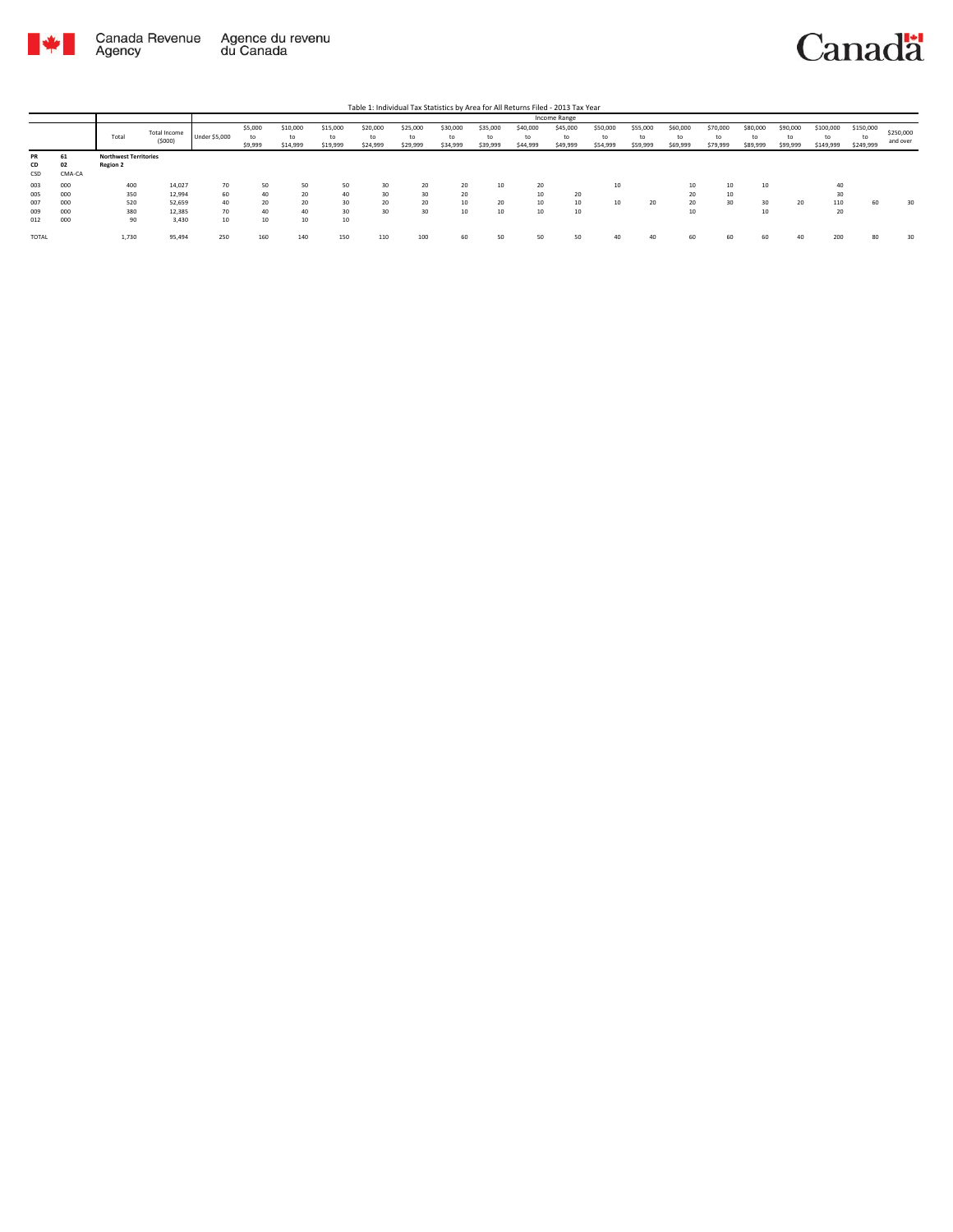

|           |        |                              |              |               |         |          |          |          |          |          |          |          | Income Range |          |          |          |          |          |          |           |           |           |
|-----------|--------|------------------------------|--------------|---------------|---------|----------|----------|----------|----------|----------|----------|----------|--------------|----------|----------|----------|----------|----------|----------|-----------|-----------|-----------|
|           |        |                              | Total Income |               | \$5,000 | \$10,000 | \$15,000 | \$20,000 | \$25,000 | \$30,000 | \$35,000 | \$40,000 | \$45,000     | \$50,000 | \$55,000 | \$60,000 | \$70,000 | \$80,000 | \$90,000 | \$100,000 | \$150,000 | \$250,000 |
|           |        | Total                        |              | Under \$5,000 | to      | to       | to       | to       | to       | to       | to       | to       | to           | to       | to       | to       | to       | to       | to       | to        | to        |           |
|           |        |                              | (5000)       |               | \$9,999 | \$14,999 | \$19,999 | \$24,999 | \$29,999 | \$34,999 | \$39,999 | \$44,999 | \$49,999     | \$54,999 | \$59,999 | \$69,999 | \$79,999 | \$89,999 | \$99,999 | \$149,999 | \$249,999 | and over  |
| <b>PR</b> | 61     | <b>Northwest Territories</b> |              |               |         |          |          |          |          |          |          |          |              |          |          |          |          |          |          |           |           |           |
| CD        | 02     | <b>Region 2</b>              |              |               |         |          |          |          |          |          |          |          |              |          |          |          |          |          |          |           |           |           |
| CSD       | CMA-CA |                              |              |               |         |          |          |          |          |          |          |          |              |          |          |          |          |          |          |           |           |           |
| 003       | 000    | 400                          | 14,027       | 70            | 50      | 50       | 50       | 30       | 20       | 20       | 10       | 20       |              | 10       |          | 10       | 10       | 10       |          | 40        |           |           |
| 005       | 000    | 350                          | 12,994       | 60            | 40      | 20       | 40       | 30       | 30       | 20       |          |          | 20           |          |          | 20       | 10       |          |          | 30        |           |           |
| 007       | 000    | 520                          | 52,659       | 40            | 20      | 20       | 30       | 20       | 20       | 10       | 20       |          | 10           | 10       | 20       | 20       | 30       | 30       | 20       | 110       | 60        | 30        |
| 009       | 000    | 380                          | 12,385       | 70            | 40      | 40       | 30       | 30       | 30       | 10       | 10       | 10       | 10           |          |          | 10       |          | 10       |          | 20        |           |           |
| 012       | 000    | 90                           | 3,430        | 10            | 10      | 10       | 10       |          |          |          |          |          |              |          |          |          |          |          |          |           |           |           |
| TOTAL     |        | 1,730                        | 95,494       | 250           | 160     | 140      | 150      | 110      | 100      | 60       | 50       | 50       | 50           |          | 40       | 60       | 60       | 60       |          | 200       | 80        | 30        |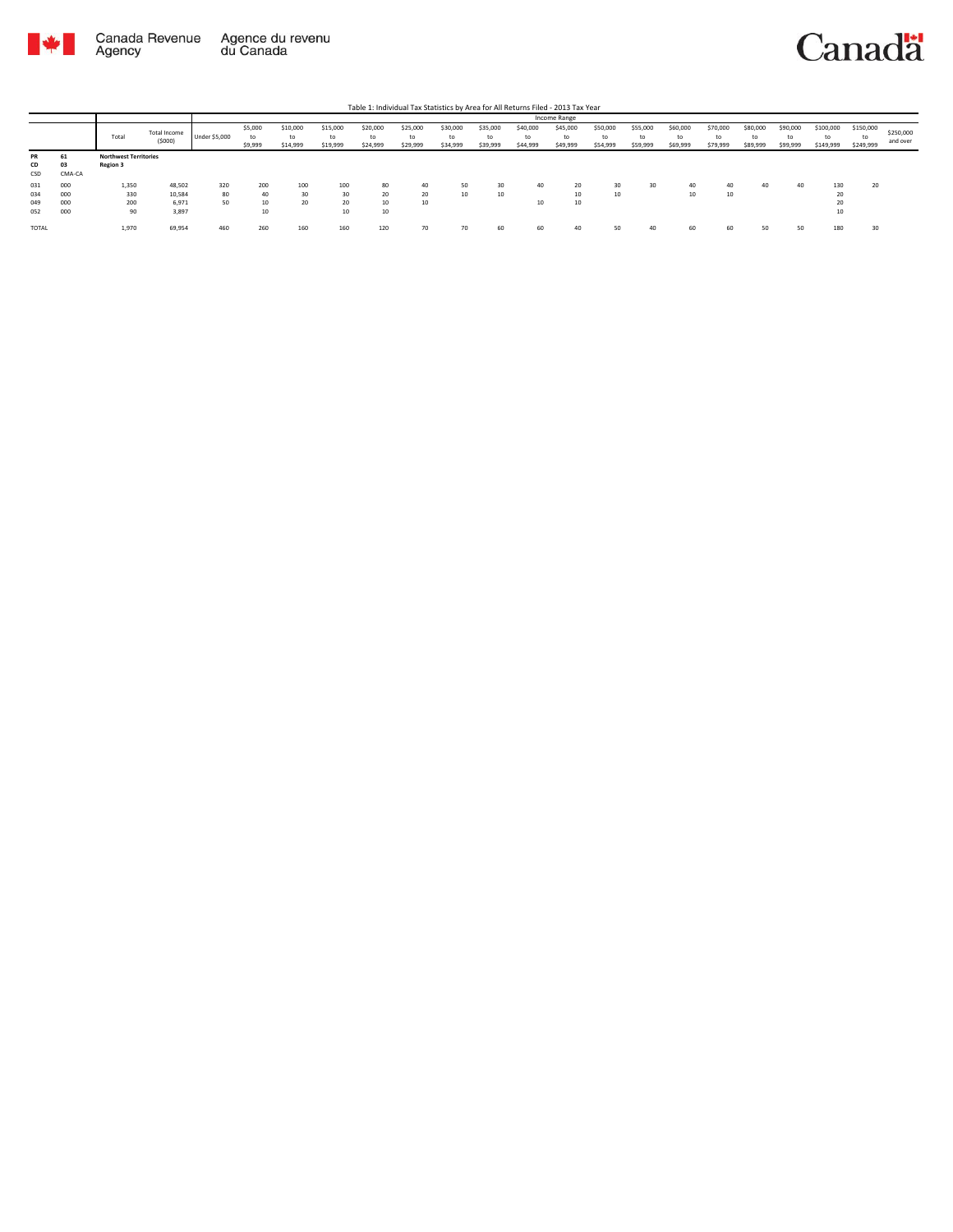

|                          |                          |                                                 |                                    |                      |                          |                            |                            |                            |                            |                            |                            |                            | Income Range               |                            |                            |                            |                            |                            |                            |                              |                              |                       |
|--------------------------|--------------------------|-------------------------------------------------|------------------------------------|----------------------|--------------------------|----------------------------|----------------------------|----------------------------|----------------------------|----------------------------|----------------------------|----------------------------|----------------------------|----------------------------|----------------------------|----------------------------|----------------------------|----------------------------|----------------------------|------------------------------|------------------------------|-----------------------|
|                          |                          | Total                                           | Total Income<br>(5000)             | <b>Under \$5,000</b> | \$5,000<br>to<br>\$9,999 | \$10,000<br>to<br>\$14,999 | \$15,000<br>to<br>\$19,999 | \$20,000<br>to<br>\$24,999 | \$25,000<br>to<br>\$29,999 | \$30,000<br>to<br>\$34,999 | \$35,000<br>to<br>\$39,999 | \$40,000<br>to<br>\$44,999 | \$45,000<br>to<br>\$49,999 | \$50,000<br>to<br>\$54,999 | \$55,000<br>to<br>\$59,999 | \$60,000<br>to<br>\$69,999 | \$70,000<br>to<br>\$79,999 | \$80,000<br>to<br>\$89,999 | \$90,000<br>to<br>\$99,999 | \$100,000<br>to<br>\$149,999 | \$150,000<br>to<br>\$249,999 | \$250,000<br>and over |
| PR<br>CD<br>CSD          | 61<br>03<br>CMA-CA       | <b>Northwest Territories</b><br><b>Region 3</b> |                                    |                      |                          |                            |                            |                            |                            |                            |                            |                            |                            |                            |                            |                            |                            |                            |                            |                              |                              |                       |
| 031<br>034<br>049<br>052 | 000<br>000<br>000<br>000 | 1,350<br>330<br>200<br>90                       | 48,502<br>10,584<br>6,971<br>3,897 | 320<br>80<br>50      | 200<br>40<br>10<br>10    | 100<br>30<br>20            | 100<br>30<br>20<br>10      | 80<br>20<br>10<br>10       | 40<br>20<br>10             | 50<br>10                   | 30<br>10                   | 40<br>10                   | 20<br>10<br>10             | 30<br>10                   | 30                         | 40<br>$\sim$<br>10         | 40<br>10                   | 40                         | 40                         | 130<br>20<br>20<br>10        | 20                           |                       |
| TOTAL                    |                          | 1,970                                           | 69,954                             | 460                  | 260                      | 160                        | 160                        | 120                        | 70                         | 70                         | 60                         | 60                         | 40                         | cn.<br>ے ر                 | 40                         | 60                         | 60                         |                            | 50                         | 180                          | 30                           |                       |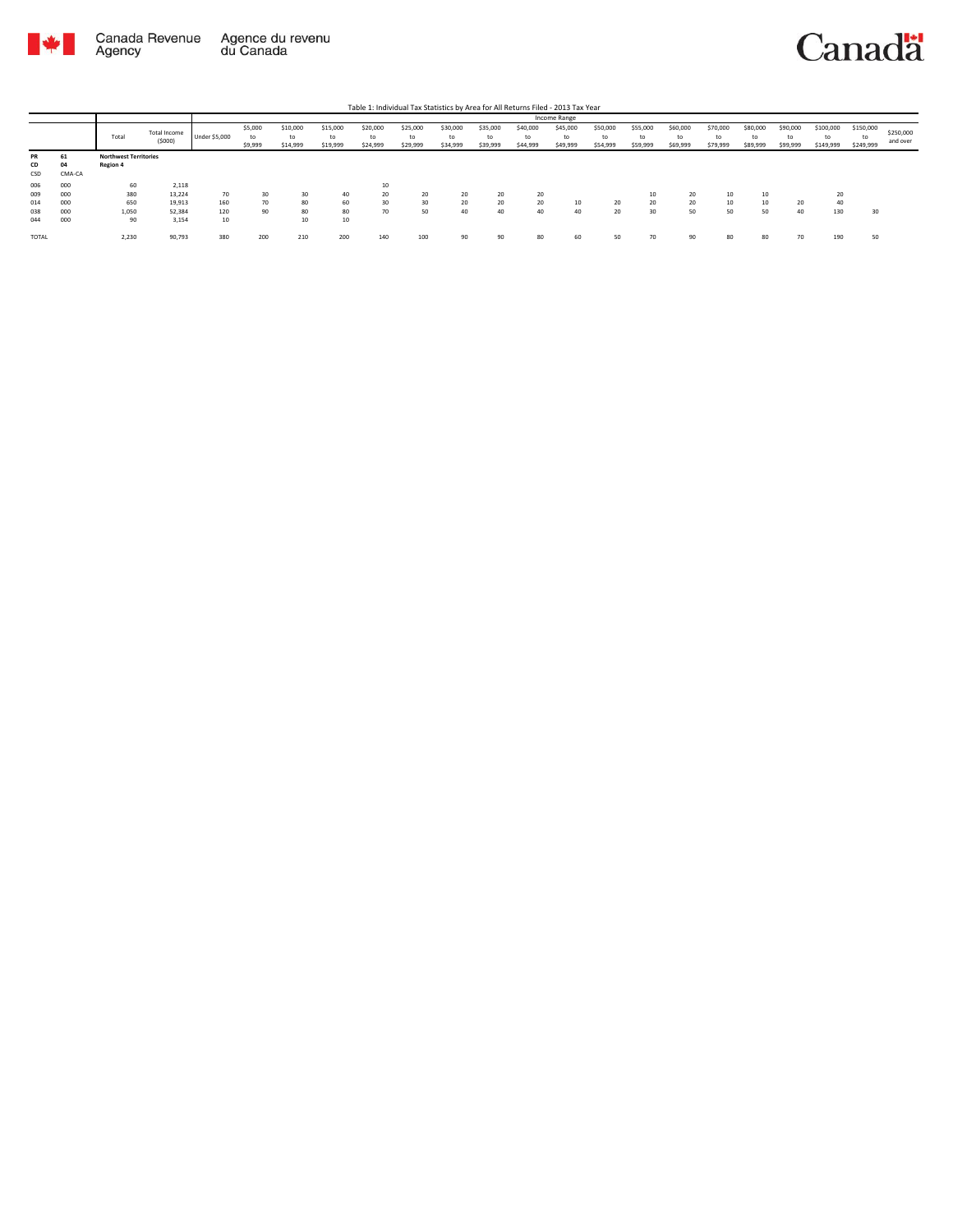

|       |        |                              |                        |               |                          |                            |                            |                            |                            |                            |                            |                            | Income Range               |                            |                            |                            |                            |                            |                            |                              |                              |                       |
|-------|--------|------------------------------|------------------------|---------------|--------------------------|----------------------------|----------------------------|----------------------------|----------------------------|----------------------------|----------------------------|----------------------------|----------------------------|----------------------------|----------------------------|----------------------------|----------------------------|----------------------------|----------------------------|------------------------------|------------------------------|-----------------------|
|       |        | Total                        | Total Income<br>(5000) | Under \$5,000 | \$5,000<br>to<br>\$9,999 | \$10,000<br>to<br>\$14,999 | \$15,000<br>to<br>\$19,999 | \$20,000<br>to<br>\$24,999 | \$25,000<br>to<br>\$29,999 | \$30,000<br>to<br>\$34,999 | \$35,000<br>to<br>\$39,999 | \$40,000<br>to<br>\$44,999 | \$45,000<br>to<br>\$49,999 | \$50,000<br>to<br>\$54,999 | \$55,000<br>to<br>\$59,999 | \$60,000<br>to<br>\$69,999 | \$70,000<br>to<br>\$79,999 | \$80,000<br>to<br>\$89,999 | \$90,000<br>to<br>\$99,999 | \$100,000<br>to<br>\$149,999 | \$150,000<br>to<br>\$249,999 | \$250,000<br>and over |
| PR    | ы      | <b>Northwest Territories</b> |                        |               |                          |                            |                            |                            |                            |                            |                            |                            |                            |                            |                            |                            |                            |                            |                            |                              |                              |                       |
| CD    | 04     | Region 4                     |                        |               |                          |                            |                            |                            |                            |                            |                            |                            |                            |                            |                            |                            |                            |                            |                            |                              |                              |                       |
| CSD   | CMA-CA |                              |                        |               |                          |                            |                            |                            |                            |                            |                            |                            |                            |                            |                            |                            |                            |                            |                            |                              |                              |                       |
| 006   | 000    | 60                           | 2,118                  |               |                          |                            |                            | 10                         |                            |                            |                            |                            |                            |                            |                            |                            |                            |                            |                            |                              |                              |                       |
| 009   | 000    | 380                          | 13,224                 | 70            | 30                       | 30                         | 40                         | 20                         | 20                         | 20                         | 20                         | 20                         |                            |                            | 10                         | 20                         | 10                         | 10                         |                            | 20                           |                              |                       |
| 014   | 000    | 650                          | 19,913                 | 160           | 70                       | 80                         | 60                         | 30                         | 30                         | 20                         | 20                         | 20                         | 10                         | 20                         | 20                         | 20                         | 10                         | 10                         | 20                         | 40                           |                              |                       |
| 038   | 000    | 1,050                        | 52,384                 | 120           | 90                       | 80                         | 80                         | 70                         | 50                         | 40                         | 40                         | 40                         | 40                         | 20                         | 30                         | 50                         | 50                         | 50                         | 40                         | 130                          | 30                           |                       |
| 044   | 000    | 90                           | 3,154                  | 10            |                          | 10                         | 10                         |                            |                            |                            |                            |                            |                            |                            |                            |                            |                            |                            |                            |                              |                              |                       |
| TOTAL |        | 2,230                        | 90,793                 | 380           | 200                      | 210                        | 200                        | 140                        | 100                        | 90                         | 90                         | 80                         | 60                         | 50                         | 70                         | 90                         | 80                         |                            | 70                         | 190                          | 50                           |                       |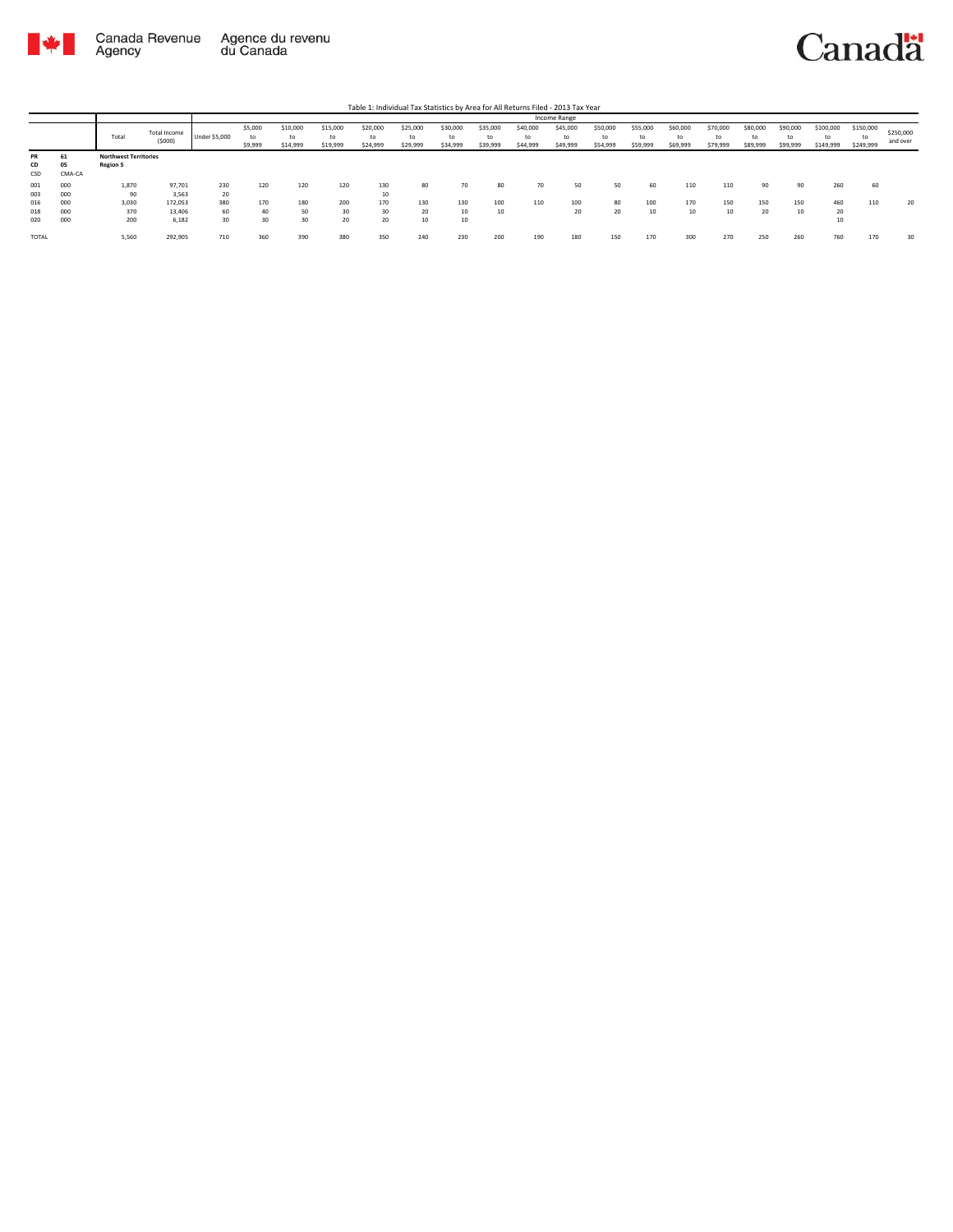

|                   |                    |                                                 |                               |                 |                          |                            |                            |                            |                            |                            |                            | Table 1: Individual Tax Statistics by Area for All Returns Filed - 2013 Tax Year |                      |                            |                            |                            |                            |                            |                            |                        |                        |                       |
|-------------------|--------------------|-------------------------------------------------|-------------------------------|-----------------|--------------------------|----------------------------|----------------------------|----------------------------|----------------------------|----------------------------|----------------------------|----------------------------------------------------------------------------------|----------------------|----------------------------|----------------------------|----------------------------|----------------------------|----------------------------|----------------------------|------------------------|------------------------|-----------------------|
|                   |                    |                                                 |                               |                 |                          |                            |                            |                            |                            |                            |                            |                                                                                  | <b>Income Range</b>  |                            |                            |                            |                            |                            |                            |                        |                        |                       |
|                   |                    | Total                                           | <b>Total Income</b><br>(5000) | Under \$5,000   | \$5,000<br>to<br>\$9,999 | \$10,000<br>to<br>\$14,999 | \$15,000<br>to<br>\$19,999 | \$20,000<br>to<br>\$24,999 | \$25,000<br>to<br>\$29,999 | \$30,000<br>to<br>\$34,999 | \$35,000<br>to<br>\$39,999 | \$40,000<br>tc<br>\$44,999                                                       | \$45,000<br>\$49,999 | \$50,000<br>to<br>\$54,999 | \$55,000<br>to<br>\$59,999 | \$60,000<br>to<br>\$69,999 | \$70,000<br>to<br>\$79,999 | \$80,000<br>to<br>\$89,999 | \$90,000<br>to<br>\$99,999 | \$100,000<br>\$149,999 | \$150,000<br>\$249,999 | \$250,000<br>and over |
| PR<br>CD<br>CSD   | 61<br>05<br>CMA-CA | <b>Northwest Territories</b><br><b>Region 5</b> |                               |                 |                          |                            |                            |                            |                            |                            |                            |                                                                                  |                      |                            |                            |                            |                            |                            |                            |                        |                        |                       |
| 001<br>003        | 000<br>000         | 1,870<br>90                                     | 97,701<br>3,563               | 230<br>20       | 120                      | 120                        | 120                        | 130<br>10                  | 80                         | 70                         | 80                         | 70                                                                               | 50                   | 50                         | 60                         | 110                        | 110                        | 90                         | 90                         | 260                    | 60                     |                       |
| 016<br>018<br>020 | 000<br>000<br>000  | 3,030<br>370<br>200                             | 172,053<br>13,406<br>6,182    | 380<br>60<br>30 | 170<br>40<br>30          | 180<br>50<br>30            | 200<br>30<br>20            | 170<br>30<br>20            | 130<br>20<br>10            | 130<br>10<br>10            | 100<br>10                  | 110                                                                              | 100<br>20            | 80<br>20                   | 100<br>10                  | 170<br>10                  | 150                        | 150<br>20                  | 150<br>10                  | 460<br>20<br>10        | 110                    | 20                    |
| <b>TOTAL</b>      |                    | 5,560                                           | 292,905                       | 710             | 360                      | 390                        | 380                        | 350                        | 240                        | 230                        | 200                        | 190                                                                              | 180                  | 150                        | 170                        | 300                        | 270                        | 250                        | 260                        | 760                    | 170                    | 30                    |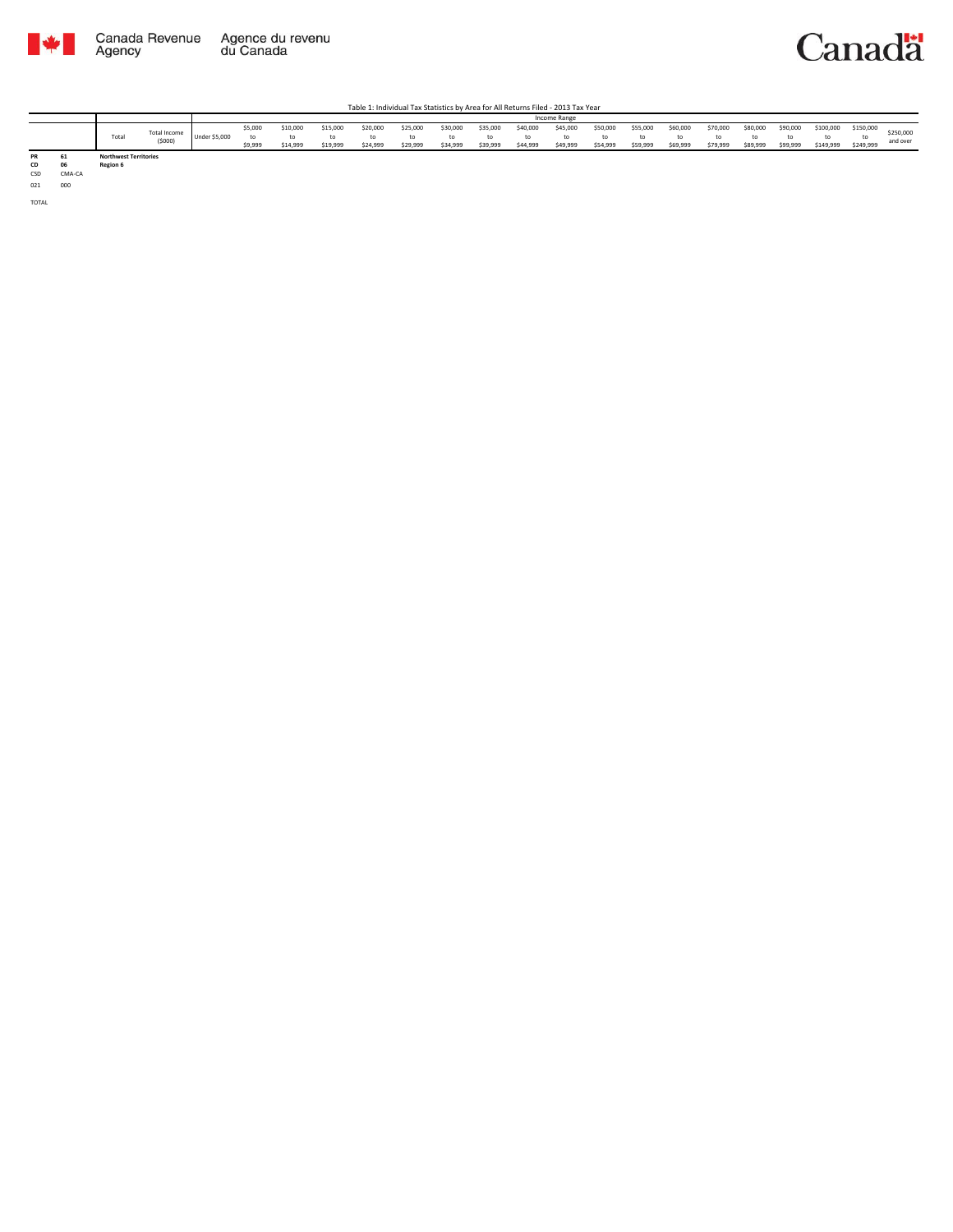

Table 1: Individual Tax Statistics by Area for All Returns Filed - 2013 Tax Year

|           |          |                                          |                               |               |                    |                      |                      |                      |                      |                      |                      |                      | <b>Income Range</b>  |                      |                      |                      |                      |                      |                      |                        |                        |                       |
|-----------|----------|------------------------------------------|-------------------------------|---------------|--------------------|----------------------|----------------------|----------------------|----------------------|----------------------|----------------------|----------------------|----------------------|----------------------|----------------------|----------------------|----------------------|----------------------|----------------------|------------------------|------------------------|-----------------------|
|           |          | Total                                    | <b>Total Income</b><br>(5000) | Under \$5,000 | \$5,000<br>\$9,999 | \$10,000<br>\$14,999 | \$15.000<br>\$19.999 | \$20,000<br>\$24.999 | \$25,000<br>\$29.999 | \$30,000<br>\$34.999 | \$35,000<br>\$39,999 | \$40,000<br>\$44,999 | \$45,000<br>\$49,999 | \$50,000<br>\$54,999 | \$55,000<br>\$59,999 | \$60,000<br>\$69,999 | \$70,000<br>\$79,999 | \$80,000<br>\$89,999 | \$90,000<br>\$99,999 | \$100,000<br>\$149,999 | \$150,000<br>\$249,999 | \$250,000<br>and over |
| PR<br>CD. | 61<br>06 | <b>Northwest Territories</b><br>Region 6 |                               |               |                    |                      |                      |                      |                      |                      |                      |                      |                      |                      |                      |                      |                      |                      |                      |                        |                        |                       |

**CD 06 Region 6** CSD CMA-CA

021 000

TOTAL